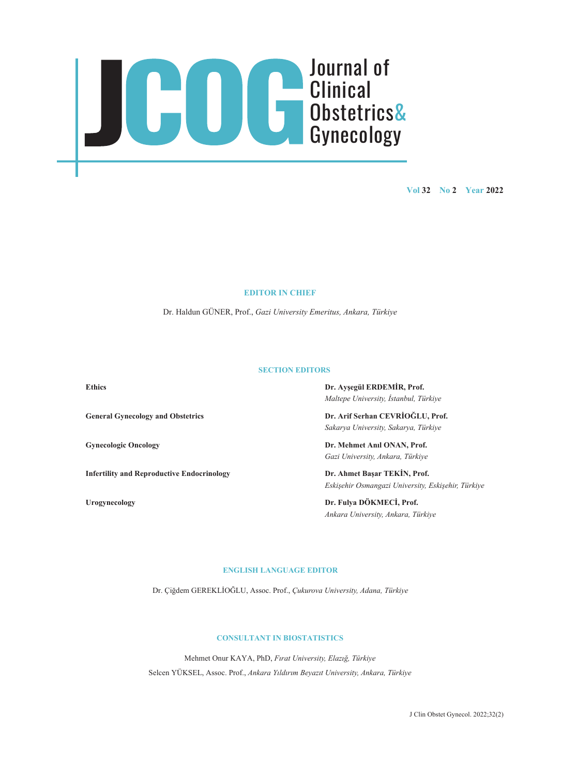

**Vol 32 No 2 Year 2022**

#### **EDITOR IN CHIEF**

Dr. Haldun GÜNER, Prof., *Gazi University Emeritus, Ankara, Türkiye*

### **SECTION EDITORS**

**Infertility and Reproductive Endocrinology Dr. Ahmet Başar TEKİN, Prof.**

**Ethics Dr. Ayşegül ERDEMİR, Prof.** *Maltepe University, İstanbul, Türkiye* 

**General Gynecology and Obstetrics Dr. Arif Serhan CEVRİOĞLU, Prof.** *Sakarya University, Sakarya, Türkiye* 

**Gynecologic Oncology Dr. Mehmet Anıl ONAN, Prof.** *Gazi University, Ankara, Türkiye* 

*Eskişehir Osmangazi University, Eskişehir, Türkiye* 

**Urogynecology Dr. Fulya DÖKMECİ, Prof.** *Ankara University, Ankara, Türkiye* 

## **ENGLISH LANGUAGE EDITOR**

Dr. Çiğdem GEREKLİOĞLU, Assoc. Prof., *Çukurova University, Adana, Türkiye*

# **CONSULTANT IN BIOSTATISTICS**

Mehmet Onur KAYA, PhD, *Fırat University, Elazığ, Türkiye*  Selcen YÜKSEL, Assoc. Prof., *Ankara Yıldırım Beyazıt University, Ankara, Türkiye* 

J Clin Obstet Gynecol. 2022;32(2)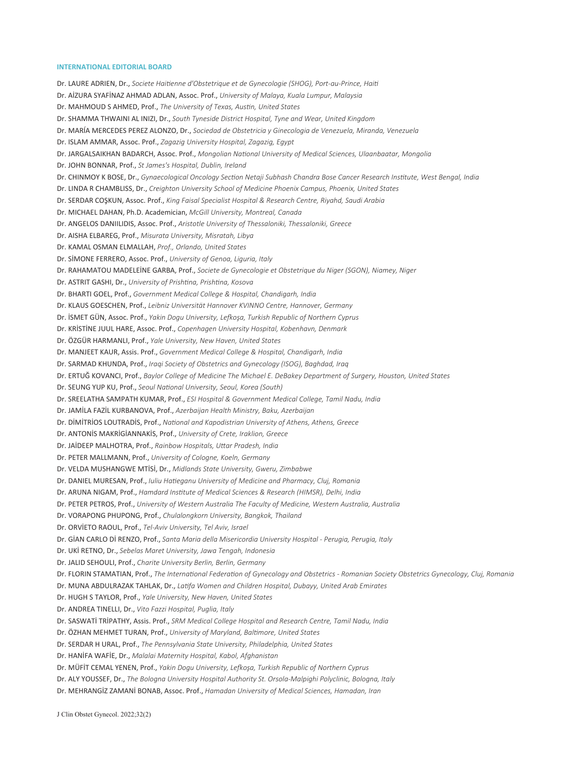#### **INTERNATIONAL EDITORIAL BOARD**

Dr. LAURE ADRIEN, Dr., *Societe Haitienne d'Obstetrique et de Gynecologie (SHOG), Port-au-Prince, Haiti* Dr. AİZURA SYAFİNAZ AHMAD ADLAN, Assoc. Prof., *University of Malaya, Kuala Lumpur, Malaysia*  Dr. MAHMOUD S AHMED, Prof., *The University of Texas, Austin, United States*  Dr. SHAMMA THWAINI AL INIZI, Dr., *South Tyneside District Hospital, Tyne and Wear, United Kingdom*  Dr. MARÍA MERCEDES PEREZ ALONZO, Dr., *Sociedad de Obstetricia y Ginecologia de Venezuela, Miranda, Venezuela*  Dr. ISLAM AMMAR, Assoc. Prof., *Zagazig University Hospital, Zagazig, Egypt*  Dr. JARGALSAIKHAN BADARCH, Assoc. Prof., *Mongolian National University of Medical Sciences, Ulaanbaatar, Mongolia*  Dr. JOHN BONNAR, Prof., *St James's Hospital, Dublin, Ireland*  Dr. CHINMOY K BOSE, Dr., *Gynaecological Oncology Section Netaji Subhash Chandra Bose Cancer Research Institute, West Bengal, India*  Dr. LINDA R CHAMBLISS, Dr., *Creighton University School of Medicine Phoenix Campus, Phoenix, United States*  Dr. SERDAR COŞKUN, Assoc. Prof., *King Faisal Specialist Hospital & Research Centre, Riyahd, Saudi Arabia*  Dr. MICHAEL DAHAN, Ph.D. Academician, *McGill University, Montreal, Canada*  Dr. ANGELOS DANIILIDIS, Assoc. Prof., *Aristotle University of Thessaloniki, Thessaloniki, Greece*  Dr. AISHA ELBAREG, Prof., *Misurata University, Misratah, Libya*  Dr. KAMAL OSMAN ELMALLAH, *Prof., Orlando, United States*  Dr. SİMONE FERRERO, Assoc. Prof., *University of Genoa, Liguria, Italy*  Dr. RAHAMATOU MADELEİNE GARBA, Prof., *Societe de Gynecologie et Obstetrique du Niger (SGON), Niamey, Niger*  Dr. ASTRIT GASHI, Dr., *University of Prishtina, Prishtina, Kosova*  Dr. BHARTI GOEL, Prof., *Government Medical College & Hospital, Chandigarh, India*  Dr. KLAUS GOESCHEN, Prof., *Leibniz Universität Hannover KVINNO Centre, Hannover, Germany*  Dr. İSMET GÜN, Assoc. Prof., *Yakin Dogu University, Lefkoşa, Turkish Republic of Northern Cyprus*  Dr. KRİSTİNE JUUL HARE, Assoc. Prof., *Copenhagen University Hospital, Kobenhavn, Denmark*  Dr. ÖZGÜR HARMANLI, Prof., *Yale University, New Haven, United States*  Dr. MANJEET KAUR, Assis. Prof., *Government Medical College & Hospital, Chandigarh, India*  Dr. SARMAD KHUNDA, Prof., *Iraqi Society of Obstetrics and Gynecology (ISOG), Baghdad, Iraq*  Dr. ERTUĞ KOVANCI, Prof., *Baylor College of Medicine The Michael E. DeBakey Department of Surgery, Houston, United States*  Dr. SEUNG YUP KU, Prof., *Seoul National University, Seoul, Korea (South)*  Dr. SREELATHA SAMPATH KUMAR, Prof., *ESI Hospital & Government Medical College, Tamil Nadu, India*  Dr. JAMİLA FAZİL KURBANOVA, Prof., *Azerbaijan Health Ministry, Baku, Azerbaijan*  Dr. DİMİTRİOS LOUTRADİS, Prof., *National and Kapodistrian University of Athens, Athens, Greece*  Dr. ANTONİS MAKRİGİANNAKİS, Prof., *University of Crete, Iraklion, Greece*  Dr. JAİDEEP MALHOTRA, Prof., *Rainbow Hospitals, Uttar Pradesh, India*  Dr. PETER MALLMANN, Prof., *University of Cologne, Koeln, Germany*  Dr. VELDA MUSHANGWE MTİSİ, Dr., *Midlands State University, Gweru, Zimbabwe*  Dr. DANIEL MURESAN, Prof., *Iuliu Hatieganu University of Medicine and Pharmacy, Cluj, Romania*  Dr. ARUNA NIGAM, Prof., *Hamdard Institute of Medical Sciences & Research (HIMSR), Delhi, India*  Dr. PETER PETROS, Prof., *University of Western Australia The Faculty of Medicine, Western Australia, Australia*  Dr. VORAPONG PHUPONG, Prof., *Chulalongkorn University, Bangkok, Thailand*  Dr. ORVİETO RAOUL, Prof., *Tel-Aviv University, Tel Aviv, Israel*  Dr. GİAN CARLO Dİ RENZO, Prof., *Santa Maria della Misericordia University Hospital - Perugia, Perugia, Italy*  Dr. UKİ RETNO, Dr., *Sebelas Maret University, Jawa Tengah, Indonesia*  Dr. JALID SEHOULI, Prof., *Charite University Berlin, Berlin, Germany*  Dr. FLORIN STAMATIAN, Prof., *The International Federation of Gynecology and Obstetrics - Romanian Society Obstetrics Gynecology, Cluj, Romania*  Dr. MUNA ABDULRAZAK TAHLAK, Dr., *Latifa Women and Children Hospital, Dubayy, United Arab Emirates*  Dr. HUGH S TAYLOR, Prof., *Yale University, New Haven, United States*  Dr. ANDREA TINELLI, Dr., *Vito Fazzi Hospital, Puglia, Italy*  Dr. SASWATİ TRİPATHY, Assis. Prof., *SRM Medical College Hospital and Research Centre, Tamil Nadu, India*  Dr. ÖZHAN MEHMET TURAN, Prof., *University of Maryland, Baltimore, United States*  Dr. SERDAR H URAL, Prof., *The Pennsylvania State University, Philadelphia, United States*  Dr. HANİFA WAFİE, Dr., *Malalai Maternity Hospital, Kabol, Afghanistan*  Dr. MÜFİT CEMAL YENEN, Prof., *Yakin Dogu University, Lefkoşa, Turkish Republic of Northern Cyprus*  Dr. ALY YOUSSEF, Dr., *The Bologna University Hospital Authority St. Orsola-Malpighi Polyclinic, Bologna, Italy* 

Dr. MEHRANGİZ ZAMANİ BONAB, Assoc. Prof., *Hamadan University of Medical Sciences, Hamadan, Iran* 

J Clin Obstet Gynecol. 2022;32(2)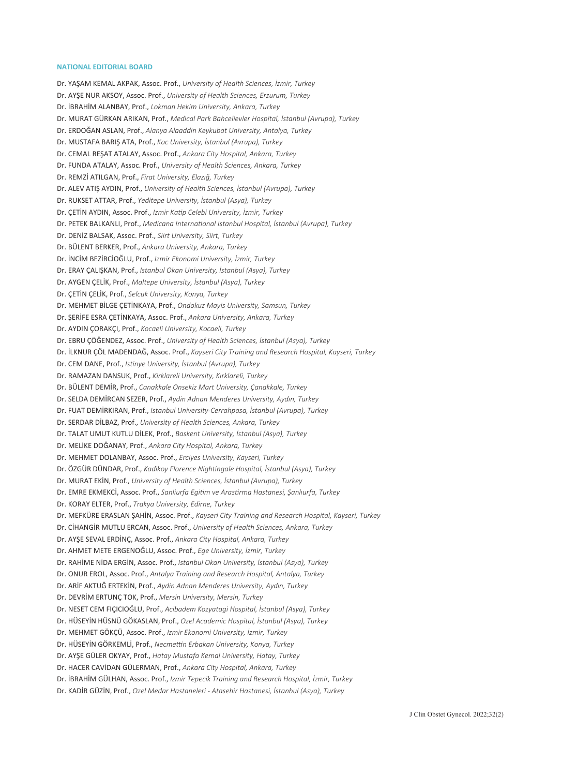#### **NATIONAL EDITORIAL BOARD**

Dr. YAŞAM KEMAL AKPAK, Assoc. Prof., *University of Health Sciences, İzmir, Turkey*  Dr. AYŞE NUR AKSOY, Assoc. Prof., *University of Health Sciences, Erzurum, Turkey*  Dr. İBRAHİM ALANBAY, Prof., *Lokman Hekim University, Ankara, Turkey*  Dr. MURAT GÜRKAN ARIKAN, Prof., *Medical Park Bahcelievler Hospital, İstanbul (Avrupa), Turkey*  Dr. ERDOĞAN ASLAN, Prof., *Alanya Alaaddin Keykubat University, Antalya, Turkey*  Dr. MUSTAFA BARIŞ ATA, Prof., *Koc University, İstanbul (Avrupa), Turkey*  Dr. CEMAL REŞAT ATALAY, Assoc. Prof., *Ankara City Hospital, Ankara, Turkey*  Dr. FUNDA ATALAY, Assoc. Prof., *University of Health Sciences, Ankara, Turkey*  Dr. REMZİ ATILGAN, Prof., *Firat University, Elazığ, Turkey*  Dr. ALEV ATIŞ AYDIN, Prof., *University of Health Sciences, İstanbul (Avrupa), Turkey*  Dr. RUKSET ATTAR, Prof., *Yeditepe University, İstanbul (Asya), Turkey*  Dr. ÇETİN AYDIN, Assoc. Prof., *Izmir Katip Celebi University, İzmir, Turkey*  Dr. PETEK BALKANLI, Prof., *Medicana International Istanbul Hospital, İstanbul (Avrupa), Turkey*  Dr. DENİZ BALSAK, Assoc. Prof., *Siirt University, Siirt, Turkey*  Dr. BÜLENT BERKER, Prof., *Ankara University, Ankara, Turkey*  Dr. İNCİM BEZİRCİOĞLU, Prof., *Izmir Ekonomi University, İzmir, Turkey*  Dr. ERAY ÇALIŞKAN, Prof., *Istanbul Okan University, İstanbul (Asya), Turkey*  Dr. AYGEN ÇELİK, Prof., *Maltepe University, İstanbul (Asya), Turkey*  Dr. ÇETİN ÇELİK, Prof., *Selcuk University, Konya, Turkey*  Dr. MEHMET BİLGE ÇETİNKAYA, Prof., *Ondokuz Mayis University, Samsun, Turkey*  Dr. ŞERİFE ESRA ÇETİNKAYA, Assoc. Prof., *Ankara University, Ankara, Turkey*  Dr. AYDIN ÇORAKÇI, Prof., *Kocaeli University, Kocaeli, Turkey*  Dr. EBRU ÇÖĞENDEZ, Assoc. Prof., *University of Health Sciences, İstanbul (Asya), Turkey*  Dr. İLKNUR ÇÖL MADENDAĞ, Assoc. Prof., *Kayseri City Training and Research Hospital, Kayseri, Turkey*  Dr. CEM DANE, Prof., *Istinye University, İstanbul (Avrupa), Turkey*  Dr. RAMAZAN DANSUK, Prof., *Kirklareli University, Kırklareli, Turkey*  Dr. BÜLENT DEMİR, Prof., *Canakkale Onsekiz Mart University, Çanakkale, Turkey*  Dr. SELDA DEMİRCAN SEZER, Prof., *Aydin Adnan Menderes University, Aydın, Turkey*  Dr. FUAT DEMİRKIRAN, Prof., *Istanbul University-Cerrahpasa, İstanbul (Avrupa), Turkey*  Dr. SERDAR DİLBAZ, Prof., *University of Health Sciences, Ankara, Turkey*  Dr. TALAT UMUT KUTLU DİLEK, Prof., *Baskent University, İstanbul (Asya), Turkey*  Dr. MELİKE DOĞANAY, Prof., *Ankara City Hospital, Ankara, Turkey*  Dr. MEHMET DOLANBAY, Assoc. Prof., *Erciyes University, Kayseri, Turkey*  Dr. ÖZGÜR DÜNDAR, Prof., *Kadikoy Florence Nightingale Hospital, İstanbul (Asya), Turkey*  Dr. MURAT EKİN, Prof., *University of Health Sciences, İstanbul (Avrupa), Turkey*  Dr. EMRE EKMEKCİ, Assoc. Prof., *Sanliurfa Egitim ve Arastirma Hastanesi, Şanlıurfa, Turkey*  Dr. KORAY ELTER, Prof., *Trakya University, Edirne, Turkey*  Dr. MEFKÜRE ERASLAN ŞAHİN, Assoc. Prof., *Kayseri City Training and Research Hospital, Kayseri, Turkey*  Dr. CİHANGİR MUTLU ERCAN, Assoc. Prof., *University of Health Sciences, Ankara, Turkey*  Dr. AYŞE SEVAL ERDİNÇ, Assoc. Prof., *Ankara City Hospital, Ankara, Turkey*  Dr. AHMET METE ERGENOĞLU, Assoc. Prof., *Ege University, İzmir, Turkey*  Dr. RAHİME NİDA ERGİN, Assoc. Prof., *Istanbul Okan University, İstanbul (Asya), Turkey*  Dr. ONUR EROL, Assoc. Prof., *Antalya Training and Research Hospital, Antalya, Turkey*  Dr. ARİF AKTUĞ ERTEKİN, Prof., *Aydin Adnan Menderes University, Aydın, Turkey*  Dr. DEVRİM ERTUNÇ TOK, Prof., *Mersin University, Mersin, Turkey*  Dr. NESET CEM FIÇICIOĞLU, Prof., *Acibadem Kozyatagi Hospital, İstanbul (Asya), Turkey*  Dr. HÜSEYİN HÜSNÜ GÖKASLAN, Prof., *Ozel Academic Hospital, İstanbul (Asya), Turkey*  Dr. MEHMET GÖKÇÜ, Assoc. Prof., *Izmir Ekonomi University, İzmir, Turkey*  Dr. HÜSEYİN GÖRKEMLİ, Prof., *Necmettin Erbakan University, Konya, Turkey*  Dr. AYŞE GÜLER OKYAY, Prof., *Hatay Mustafa Kemal University, Hatay, Turkey*  Dr. HACER CAVİDAN GÜLERMAN, Prof., *Ankara City Hospital, Ankara, Turkey*  Dr. İBRAHİM GÜLHAN, Assoc. Prof., *Izmir Tepecik Training and Research Hospital, İzmir, Turkey* 

Dr. KADİR GÜZİN, Prof., *Ozel Medar Hastaneleri - Atasehir Hastanesi, İstanbul (Asya), Turkey*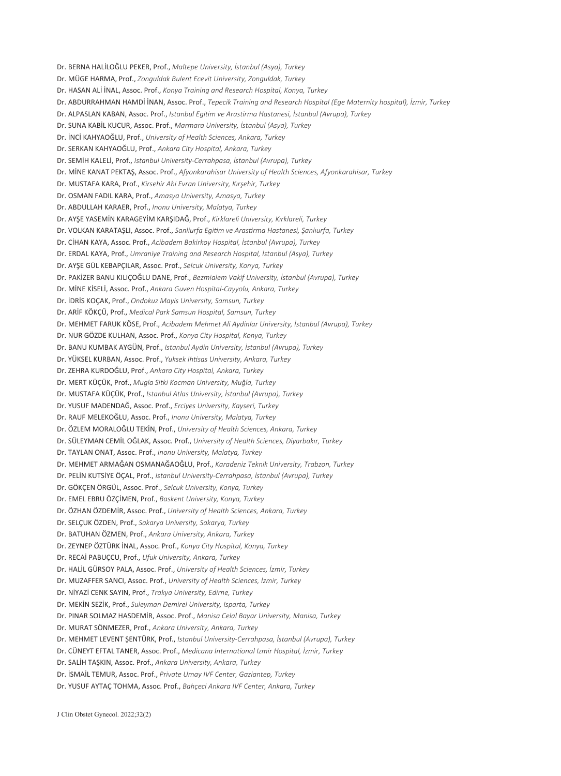Dr. BERNA HALİLOĞLU PEKER, Prof., *Maltepe University, İstanbul (Asya), Turkey*  Dr. MÜGE HARMA, Prof., *Zonguldak Bulent Ecevit University, Zonguldak, Turkey*  Dr. HASAN ALİ İNAL, Assoc. Prof., *Konya Training and Research Hospital, Konya, Turkey*  Dr. ABDURRAHMAN HAMDİ İNAN, Assoc. Prof., *Tepecik Training and Research Hospital (Ege Maternity hospital), İzmir, Turkey*  Dr. ALPASLAN KABAN, Assoc. Prof., *Istanbul Egitim ve Arastirma Hastanesi, İstanbul (Avrupa), Turkey*  Dr. SUNA KABİL KUCUR, Assoc. Prof., *Marmara University, İstanbul (Asya), Turkey*  Dr. İNCİ KAHYAOĞLU, Prof., *University of Health Sciences, Ankara, Turkey*  Dr. SERKAN KAHYAOĞLU, Prof., *Ankara City Hospital, Ankara, Turkey*  Dr. SEMİH KALELİ, Prof., *Istanbul University-Cerrahpasa, İstanbul (Avrupa), Turkey*  Dr. MİNE KANAT PEKTAŞ, Assoc. Prof., *Afyonkarahisar University of Health Sciences, Afyonkarahisar, Turkey*  Dr. MUSTAFA KARA, Prof., *Kirsehir Ahi Evran University, Kırşehir, Turkey*  Dr. OSMAN FADIL KARA, Prof., *Amasya University, Amasya, Turkey*  Dr. ABDULLAH KARAER, Prof., *Inonu University, Malatya, Turkey*  Dr. AYŞE YASEMİN KARAGEYİM KARŞIDAĞ, Prof., *Kirklareli University, Kırklareli, Turkey*  Dr. VOLKAN KARATAŞLI, Assoc. Prof., *Sanliurfa Egitim ve Arastirma Hastanesi, Şanlıurfa, Turkey*  Dr. CİHAN KAYA, Assoc. Prof., *Acibadem Bakirkoy Hospital, İstanbul (Avrupa), Turkey*  Dr. ERDAL KAYA, Prof., *Umraniye Training and Research Hospital, İstanbul (Asya), Turkey*  Dr. AYŞE GÜL KEBAPÇILAR, Assoc. Prof., *Selcuk University, Konya, Turkey*  Dr. PAKİZER BANU KILIÇOĞLU DANE, Prof., *Bezmialem Vakif University, İstanbul (Avrupa), Turkey*  Dr. MİNE KİSELİ, Assoc. Prof., *Ankara Guven Hospital-Cayyolu, Ankara, Turkey*  Dr. İDRİS KOÇAK, Prof., *Ondokuz Mayis University, Samsun, Turkey*  Dr. ARİF KÖKÇÜ, Prof., *Medical Park Samsun Hospital, Samsun, Turkey*  Dr. MEHMET FARUK KÖSE, Prof., *Acibadem Mehmet Ali Aydinlar University, İstanbul (Avrupa), Turkey*  Dr. NUR GÖZDE KULHAN, Assoc. Prof., *Konya City Hospital, Konya, Turkey*  Dr. BANU KUMBAK AYGÜN, Prof., *Istanbul Aydin University, İstanbul (Avrupa), Turkey*  Dr. YÜKSEL KURBAN, Assoc. Prof., *Yuksek Ihtisas University, Ankara, Turkey*  Dr. ZEHRA KURDOĞLU, Prof., *Ankara City Hospital, Ankara, Turkey*  Dr. MERT KÜÇÜK, Prof., *Mugla Sitki Kocman University, Muğla, Turkey*  Dr. MUSTAFA KÜÇÜK, Prof., *Istanbul Atlas University, İstanbul (Avrupa), Turkey*  Dr. YUSUF MADENDAĞ, Assoc. Prof., *Erciyes University, Kayseri, Turkey*  Dr. RAUF MELEKOĞLU, Assoc. Prof., *Inonu University, Malatya, Turkey*  Dr. ÖZLEM MORALOĞLU TEKİN, Prof., *University of Health Sciences, Ankara, Turkey*  Dr. SÜLEYMAN CEMİL OĞLAK, Assoc. Prof., *University of Health Sciences, Diyarbakır, Turkey*  Dr. TAYLAN ONAT, Assoc. Prof., *Inonu University, Malatya, Turkey*  Dr. MEHMET ARMAĞAN OSMANAĞAOĞLU, Prof., *Karadeniz Teknik University, Trabzon, Turkey*  Dr. PELİN KUTSİYE ÖÇAL, Prof., *Istanbul University-Cerrahpasa, İstanbul (Avrupa), Turkey*  Dr. GÖKÇEN ÖRGÜL, Assoc. Prof., *Selcuk University, Konya, Turkey*  Dr. EMEL EBRU ÖZÇİMEN, Prof., *Baskent University, Konya, Turkey*  Dr. ÖZHAN ÖZDEMİR, Assoc. Prof., *University of Health Sciences, Ankara, Turkey*  Dr. SELÇUK ÖZDEN, Prof., *Sakarya University, Sakarya, Turkey*  Dr. BATUHAN ÖZMEN, Prof., *Ankara University, Ankara, Turkey*  Dr. ZEYNEP ÖZTÜRK İNAL, Assoc. Prof., *Konya City Hospital, Konya, Turkey*  Dr. RECAİ PABUÇCU, Prof., *Ufuk University, Ankara, Turkey*  Dr. HALİL GÜRSOY PALA, Assoc. Prof., *University of Health Sciences, İzmir, Turkey*  Dr. MUZAFFER SANCI, Assoc. Prof., *University of Health Sciences, İzmir, Turkey*  Dr. NİYAZİ CENK SAYIN, Prof., *Trakya University, Edirne, Turkey*  Dr. MEKİN SEZİK, Prof., *Suleyman Demirel University, Isparta, Turkey*  Dr. PINAR SOLMAZ HASDEMİR, Assoc. Prof., *Manisa Celal Bayar University, Manisa, Turkey*  Dr. MURAT SÖNMEZER, Prof., *Ankara University, Ankara, Turkey*  Dr. MEHMET LEVENT ŞENTÜRK, Prof., *Istanbul University-Cerrahpasa, İstanbul (Avrupa), Turkey*  Dr. CÜNEYT EFTAL TANER, Assoc. Prof., *Medicana International Izmir Hospital, İzmir, Turkey*  Dr. SALİH TAŞKIN, Assoc. Prof., *Ankara University, Ankara, Turkey*  Dr. İSMAİL TEMUR, Assoc. Prof., *Private Umay IVF Center, Gaziantep, Turkey*  Dr. YUSUF AYTAÇ TOHMA, Assoc. Prof., *Bahçeci Ankara IVF Center, Ankara, Turkey*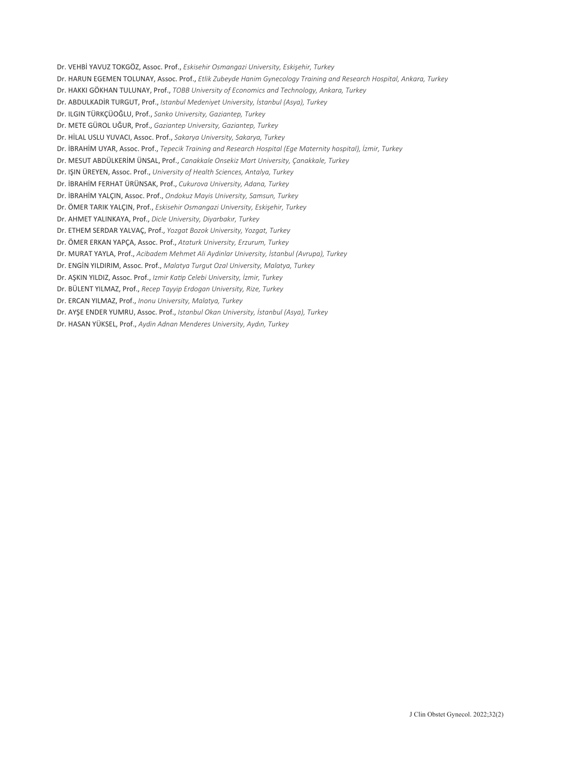Dr. VEHBİ YAVUZ TOKGÖZ, Assoc. Prof., *Eskisehir Osmangazi University, Eskişehir, Turkey* 

- Dr. HARUN EGEMEN TOLUNAY, Assoc. Prof., *Etlik Zubeyde Hanim Gynecology Training and Research Hospital, Ankara, Turkey*
- Dr. HAKKI GÖKHAN TULUNAY, Prof., *TOBB University of Economics and Technology, Ankara, Turkey*
- Dr. ABDULKADİR TURGUT, Prof., *Istanbul Medeniyet University, İstanbul (Asya), Turkey*
- Dr. ILGIN TÜRKÇÜOĞLU, Prof., *Sanko University, Gaziantep, Turkey*
- Dr. METE GÜROL UĞUR, Prof., *Gaziantep University, Gaziantep, Turkey*
- Dr. HİLAL USLU YUVACI, Assoc. Prof., *Sakarya University, Sakarya, Turkey*
- Dr. İBRAHİM UYAR, Assoc. Prof., *Tepecik Training and Research Hospital (Ege Maternity hospital), İzmir, Turkey*
- Dr. MESUT ABDÜLKERİM ÜNSAL, Prof., *Canakkale Onsekiz Mart University, Çanakkale, Turkey*
- Dr. IŞIN ÜREYEN, Assoc. Prof., *University of Health Sciences, Antalya, Turkey*
- Dr. İBRAHİM FERHAT ÜRÜNSAK, Prof., *Cukurova University, Adana, Turkey*
- Dr. İBRAHİM YALÇIN, Assoc. Prof., *Ondokuz Mayis University, Samsun, Turkey*
- Dr. ÖMER TARIK YALÇIN, Prof., *Eskisehir Osmangazi University, Eskişehir, Turkey*
- Dr. AHMET YALINKAYA, Prof., *Dicle University, Diyarbakır, Turkey*
- Dr. ETHEM SERDAR YALVAÇ, Prof., *Yozgat Bozok University, Yozgat, Turkey*
- Dr. ÖMER ERKAN YAPÇA, Assoc. Prof., *Ataturk University, Erzurum, Turkey*
- Dr. MURAT YAYLA, Prof., *Acibadem Mehmet Ali Aydinlar University, İstanbul (Avrupa), Turkey*
- Dr. ENGİN YILDIRIM, Assoc. Prof., *Malatya Turgut Ozal University, Malatya, Turkey*
- Dr. AŞKIN YILDIZ, Assoc. Prof., *Izmir Katip Celebi University, İzmir, Turkey*
- Dr. BÜLENT YILMAZ, Prof., *Recep Tayyip Erdogan University, Rize, Turkey*
- Dr. ERCAN YILMAZ, Prof., *Inonu University, Malatya, Turkey*
- Dr. AYŞE ENDER YUMRU, Assoc. Prof., *Istanbul Okan University, İstanbul (Asya), Turkey*
- Dr. HASAN YÜKSEL, Prof., *Aydin Adnan Menderes University, Aydın, Turkey*